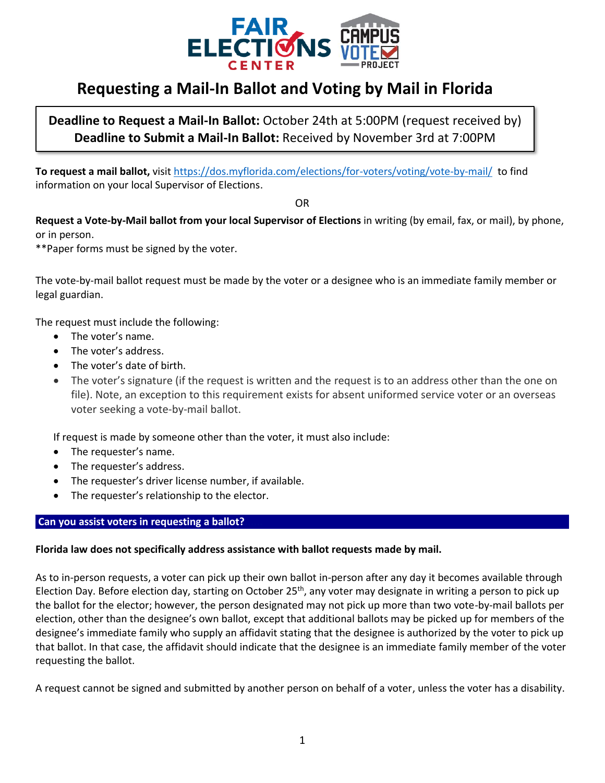

# **Requesting a Mail-In Ballot and Voting by Mail in Florida**

**Deadline to Request a Mail-In Ballot:** October 24th at 5:00PM (request received by) **Deadline to Submit a Mail-In Ballot:** Received by November 3rd at 7:00PM

**To request a mail ballot,** visit<https://dos.myflorida.com/elections/for-voters/voting/vote-by-mail/> to find information on your local Supervisor of Elections.

OR

**Request a Vote-by-Mail ballot from your local Supervisor of Elections** in writing (by email, fax, or mail), by phone, or in person.

\*\*Paper forms must be signed by the voter.

The vote-by-mail ballot request must be made by the voter or a designee who is an immediate family member or legal guardian.

The request must include the following:

- The voter's name.
- The voter's address.
- The voter's date of birth.
- The voter's signature (if the request is written and the request is to an address other than the one on file). Note, an exception to this requirement exists for absent uniformed service voter or an overseas voter seeking a vote-by-mail ballot.

If request is made by someone other than the voter, it must also include:

- The requester's name.
- The requester's address.
- The requester's driver license number, if available.
- The requester's relationship to the elector.

### Can you assist voters in requesting a ballot?

# **Florida law does not specifically address assistance with ballot requests made by mail.**

As to in-person requests, a voter can pick up their own ballot in-person after any day it becomes available through Election Day. Before election day, starting on October 25<sup>th</sup>, any voter may designate in writing a person to pick up the ballot for the elector; however, the person designated may not pick up more than two vote-by-mail ballots per election, other than the designee's own ballot, except that additional ballots may be picked up for members of the designee's immediate family who supply an affidavit stating that the designee is authorized by the voter to pick up that ballot. In that case, the affidavit should indicate that the designee is an immediate family member of the voter requesting the ballot.

A request cannot be signed and submitted by another person on behalf of a voter, unless the voter has a disability.